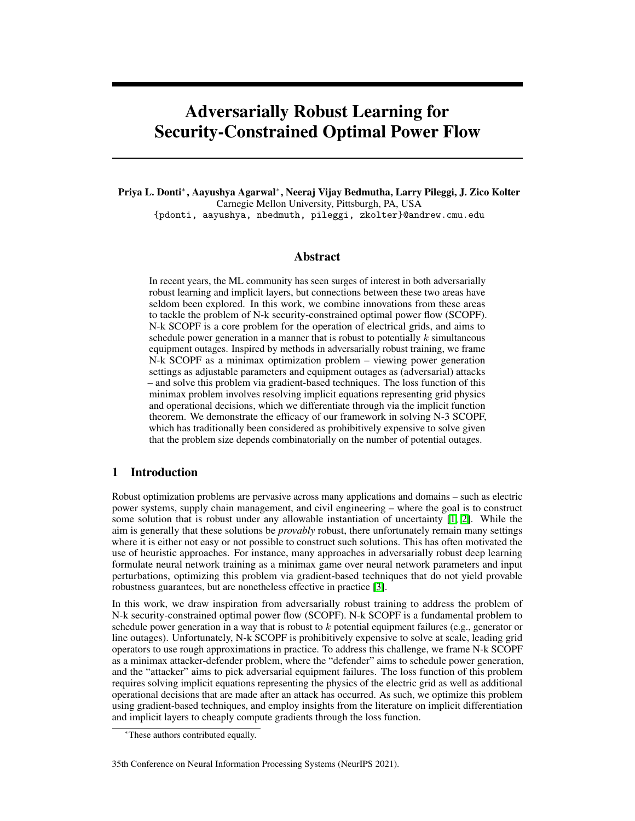# <span id="page-0-0"></span>Adversarially Robust Learning for Security-Constrained Optimal Power Flow

<span id="page-0-3"></span>Priya L. Donti\*, Aayushya Agarwal\*, Neeraj Vijay Bedmutha, Larry Pileggi, J. Zico Kolter Carnegie Mellon University, Pittsburgh, PA, USA {pdonti, aayushya, nbedmuth, pileggi, zkolter}@andrew.cmu.edu

## Abstract

In recent years, the ML community has seen surges of interest in both adversarially robust learning and implicit layers, but connections between these two areas have seldom been explored. In this work, we combine innovations from these areas to tackle the problem of N-k security-constrained optimal power flow (SCOPF). N-k SCOPF is a core problem for the operation of electrical grids, and aims to schedule power generation in a manner that is robust to potentially *k* simultaneous equipment outages. Inspired by methods in adversarially robust training, we frame N-k SCOPF as a minimax optimization problem – viewing power generation settings as adjustable parameters and equipment outages as (adversarial) attacks – and solve this problem via gradient-based techniques. The loss function of this minimax problem involves resolving implicit equations representing grid physics and operational decisions, which we differentiate through via the implicit function theorem. We demonstrate the efficacy of our framework in solving N-3 SCOPF, which has traditionally been considered as prohibitively expensive to solve given that the problem size depends combinatorially on the number of potential outages.

## <span id="page-0-2"></span>1 Introduction

Robust optimization problems are pervasive across many applications and domains – such as electric power systems, supply chain management, and civil engineering – where the goal is to construct some solution that is robust under any allowable instantiation of uncertainty  $\left[\frac{1}{2}\right]$ . While the aim is generally that these solutions be *provably* robust, there unfortunately remain many settings where it is either not easy or not possible to construct such solutions. This has often motivated the use of heuristic approaches. For instance, many approaches in adversarially robust deep learning formulate neural network training as a minimax game over neural network parameters and input perturbations, optimizing this problem via gradient-based techniques that do not yield provable robustness guarantees, but are nonetheless effective in practice  $\mathbf{3}$ .

<span id="page-0-1"></span>In this work, we draw inspiration from adversarially robust training to address the problem of N-k security-constrained optimal power flow (SCOPF). N-k SCOPF is a fundamental problem to schedule power generation in a way that is robust to *k* potential equipment failures (e.g., generator or line outages). Unfortunately, N-k SCOPF is prohibitively expensive to solve at scale, leading grid operators to use rough approximations in practice. To address this challenge, we frame N-k SCOPF as a minimax attacker-defender problem, where the "defender" aims to schedule power generation, and the "attacker" aims to pick adversarial equipment failures. The loss function of this problem requires solving implicit equations representing the physics of the electric grid as well as additional operational decisions that are made after an attack has occurred. As such, we optimize this problem using gradient-based techniques, and employ insights from the literature on implicit differentiation and implicit layers to cheaply compute gradients through the loss function.

<sup>⇤</sup>These authors contributed equally.

<sup>35</sup>th Conference on Neural Information Processing Systems (NeurIPS 2021).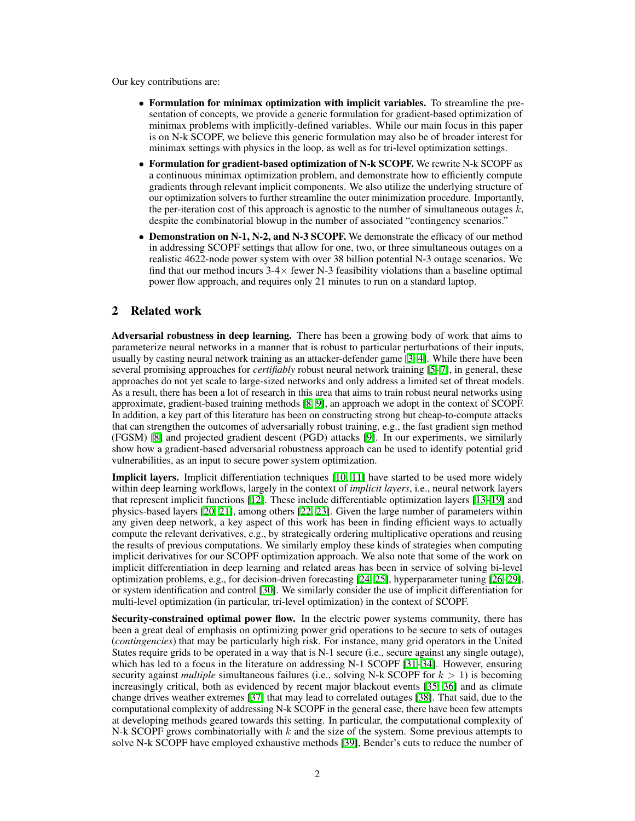Our key contributions are:

- *•* Formulation for minimax optimization with implicit variables. To streamline the presentation of concepts, we provide a generic formulation for gradient-based optimization of minimax problems with implicitly-defined variables. While our main focus in this paper is on N-k SCOPF, we believe this generic formulation may also be of broader interest for minimax settings with physics in the loop, as well as for tri-level optimization settings.
- *•* Formulation for gradient-based optimization of N-k SCOPF. We rewrite N-k SCOPF as a continuous minimax optimization problem, and demonstrate how to efficiently compute gradients through relevant implicit components. We also utilize the underlying structure of our optimization solvers to further streamline the outer minimization procedure. Importantly, the per-iteration cost of this approach is agnostic to the number of simultaneous outages  $k$ , despite the combinatorial blowup in the number of associated "contingency scenarios."
- Demonstration on N-1, N-2, and N-3 SCOPF. We demonstrate the efficacy of our method in addressing SCOPF settings that allow for one, two, or three simultaneous outages on a realistic 4622-node power system with over 38 billion potential N-3 outage scenarios. We find that our method incurs  $3-4\times$  fewer N-3 feasibility violations than a baseline optimal power flow approach, and requires only 21 minutes to run on a standard laptop.

## 2 Related work

Adversarial robustness in deep learning. There has been a growing body of work that aims to parameterize neural networks in a manner that is robust to particular perturbations of their inputs, usually by casting neural network training as an attacker-defender game  $\left[\frac{3}{4}\right]$ . While there have been several promising approaches for *certifiably* robust neural network training [\[5–](#page-10-4)[7\]](#page-10-5), in general, these approaches do not yet scale to large-sized networks and only address a limited set of threat models. As a result, there has been a lot of research in this area that aims to train robust neural networks using approximate, gradient-based training methods  $[8, 9]$  $[8, 9]$  $[8, 9]$ , an approach we adopt in the context of SCOPF. In addition, a key part of this literature has been on constructing strong but cheap-to-compute attacks that can strengthen the outcomes of adversarially robust training, e.g., the fast gradient sign method (FGSM)  $[8]$  and projected gradient descent (PGD) attacks  $[9]$ . In our experiments, we similarly show how a gradient-based adversarial robustness approach can be used to identify potential grid vulnerabilities, as an input to secure power system optimization.

**Implicit layers.** Implicit differentiation techniques  $\begin{bmatrix} 10 \\ 11 \end{bmatrix}$  have started to be used more widely within deep learning workflows, largely in the context of *implicit layers*, i.e., neural network layers that represent implicit functions  $\boxed{12}$ . These include differentiable optimization layers  $\boxed{13}$ - $\boxed{19}$  and physics-based layers  $[20, 21]$  $[20, 21]$  $[20, 21]$ , among others  $[22, 23]$  $[22, 23]$  $[22, 23]$ . Given the large number of parameters within any given deep network, a key aspect of this work has been in finding efficient ways to actually compute the relevant derivatives, e.g., by strategically ordering multiplicative operations and reusing the results of previous computations. We similarly employ these kinds of strategies when computing implicit derivatives for our SCOPF optimization approach. We also note that some of the work on implicit differentiation in deep learning and related areas has been in service of solving bi-level optimization problems, e.g., for decision-driven forecasting  $[24, 25]$  $[24, 25]$  $[24, 25]$ , hyperparameter tuning  $[26, 29]$  $[26, 29]$ , or system identification and control  $[30]$ . We similarly consider the use of implicit differentiation for multi-level optimization (in particular, tri-level optimization) in the context of SCOPF.

Security-constrained optimal power flow. In the electric power systems community, there has been a great deal of emphasis on optimizing power grid operations to be secure to sets of outages (*contingencies*) that may be particularly high risk. For instance, many grid operators in the United States require grids to be operated in a way that is N-1 secure (i.e., secure against any single outage), which has led to a focus in the literature on addressing N-1 SCOPF  $[31]$ - $[34]$  $[34]$ . However, ensuring security against *multiple* simultaneous failures (i.e., solving N-k SCOPF for  $k > 1$ ) is becoming increasingly critical, both as evidenced by recent major blackout events  $\frac{135}{36}$  and as climate change drives weather extremes  $\sqrt{37}$  that may lead to correlated outages  $\sqrt{38}$ . That said, due to the computational complexity of addressing N-k SCOPF in the general case, there have been few attempts at developing methods geared towards this setting. In particular, the computational complexity of N-k SCOPF grows combinatorially with *k* and the size of the system. Some previous attempts to solve N-k SCOPF have employed exhaustive methods [\[39\]](#page-12-0), Bender's cuts to reduce the number of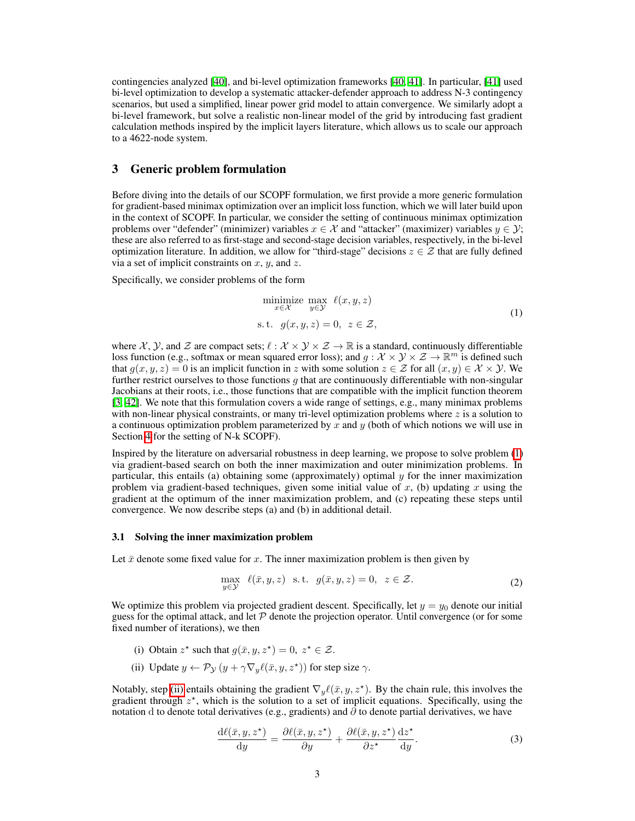contingencies analyzed  $[40]$ , and bi-level optimization frameworks  $[40, 41]$  $[40, 41]$  $[40, 41]$ . In particular,  $[41]$  used bi-level optimization to develop a systematic attacker-defender approach to address N-3 contingency scenarios, but used a simplified, linear power grid model to attain convergence. We similarly adopt a bi-level framework, but solve a realistic non-linear model of the grid by introducing fast gradient calculation methods inspired by the implicit layers literature, which allows us to scale our approach to a 4622-node system.

## <span id="page-2-3"></span>3 Generic problem formulation

Before diving into the details of our SCOPF formulation, we first provide a more generic formulation for gradient-based minimax optimization over an implicit loss function, which we will later build upon in the context of SCOPF. In particular, we consider the setting of continuous minimax optimization problems over "defender" (minimizer) variables  $x \in \mathcal{X}$  and "attacker" (maximizer) variables  $y \in \mathcal{Y}$ ; these are also referred to as first-stage and second-stage decision variables, respectively, in the bi-level optimization literature. In addition, we allow for "third-stage" decisions  $z \in \mathcal{Z}$  that are fully defined via a set of implicit constraints on *x*, *y*, and *z*.

Specifically, we consider problems of the form

<span id="page-2-0"></span>
$$
\begin{array}{ll}\text{minimize} & \max_{x \in \mathcal{X}} \ell(x, y, z) \\ \text{s.t.} & g(x, y, z) = 0, \ z \in \mathcal{Z}, \end{array} \tag{1}
$$

where  $\mathcal{X}, \mathcal{Y},$  and  $\mathcal{Z}$  are compact sets;  $\ell : \mathcal{X} \times \mathcal{Y} \times \mathcal{Z} \to \mathbb{R}$  is a standard, continuously differentiable loss function (e.g., softmax or mean squared error loss); and  $g : \mathcal{X} \times \mathcal{Y} \times \mathcal{Z} \to \mathbb{R}^m$  is defined such that  $g(x, y, z) = 0$  is an implicit function in *z* with some solution  $z \in \mathcal{Z}$  for all  $(x, y) \in \mathcal{X} \times \mathcal{Y}$ . We further restrict ourselves to those functions *g* that are continuously differentiable with non-singular Jacobians at their roots, i.e., those functions that are compatible with the implicit function theorem  $[3, 42]$  $[3, 42]$  $[3, 42]$ . We note that this formulation covers a wide range of settings, e.g., many minimax problems with non-linear physical constraints, or many tri-level optimization problems where *z* is a solution to a continuous optimization problem parameterized by *x* and *y* (both of which notions we will use in Section  $\frac{4}{1}$  for the setting of N-k SCOPF).

Inspired by the literature on adversarial robustness in deep learning, we propose to solve problem  $\sqrt{1}$ via gradient-based search on both the inner maximization and outer minimization problems. In particular, this entails (a) obtaining some (approximately) optimal *y* for the inner maximization problem via gradient-based techniques, given some initial value of  $x$ , (b) updating  $x$  using the gradient at the optimum of the inner maximization problem, and (c) repeating these steps until convergence. We now describe steps (a) and (b) in additional detail.

#### <span id="page-2-4"></span>3.1 Solving the inner maximization problem

Let  $\bar{x}$  denote some fixed value for  $x$ . The inner maximization problem is then given by

$$
\max_{y \in \mathcal{Y}} \ell(\bar{x}, y, z) \quad \text{s.t.} \quad g(\bar{x}, y, z) = 0, \quad z \in \mathcal{Z}.
$$

We optimize this problem via projected gradient descent. Specifically, let  $y = y_0$  denote our initial guess for the optimal attack, and let  $P$  denote the projection operator. Until convergence (or for some fixed number of iterations), we then

- (i) Obtain  $z^*$  such that  $g(\bar{x}, y, z^*) = 0$ ,  $z^* \in \mathcal{Z}$ .
- <span id="page-2-1"></span>(ii) Update  $y \leftarrow \mathcal{P}_{\mathcal{Y}}(y + \gamma \nabla_y \ell(\bar{x}, y, z^*))$  for step size  $\gamma$ .

Notably, step [\(ii\)](#page-2-1) entails obtaining the gradient  $\nabla_y \ell(\bar{x}, y, z^*)$ . By the chain rule, this involves the gradient through  $z^*$ , which is the solution to a set of implicit equations. Specifically, using the notation d to denote total derivatives (e.g., gradients) and  $\partial$  to denote partial derivatives, we have

<span id="page-2-2"></span>
$$
\frac{\mathrm{d}\ell(\bar{x}, y, z^{\star})}{\mathrm{d}y} = \frac{\partial \ell(\bar{x}, y, z^{\star})}{\partial y} + \frac{\partial \ell(\bar{x}, y, z^{\star})}{\partial z^{\star}} \frac{\mathrm{d}z^{\star}}{\mathrm{d}y}.
$$
(3)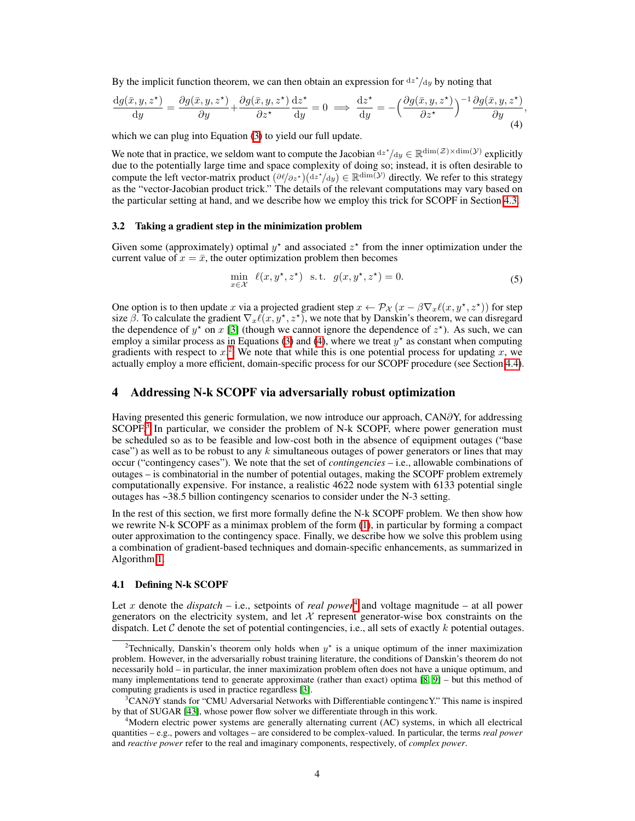By the implicit function theorem, we can then obtain an expression for  $dz'/dy$  by noting that

$$
\frac{dg(\bar{x}, y, z^*)}{dy} = \frac{\partial g(\bar{x}, y, z^*)}{\partial y} + \frac{\partial g(\bar{x}, y, z^*)}{\partial z^*} \frac{dz^*}{dy} = 0 \implies \frac{dz^*}{dy} = -\left(\frac{\partial g(\bar{x}, y, z^*)}{\partial z^*}\right)^{-1} \frac{\partial g(\bar{x}, y, z^*)}{\partial y},\tag{4}
$$

which we can plug into Equation  $\sqrt{3}$  to yield our full update.

We note that in practice, we seldom want to compute the Jacobian  $dz^*/dy \in \mathbb{R}^{\dim(\mathcal{Z}) \times \dim(\mathcal{Y})}$  explicitly due to the potentially large time and space complexity of doing so; instead, it is often desirable to compute the left vector-matrix product  $(\partial \ell/\partial z^{\star})(dz^{\star}/dy) \in \mathbb{R}^{\dim(\mathcal{Y})}$  directly. We refer to this strategy as the "vector-Jacobian product trick." The details of the relevant computations may vary based on the particular setting at hand, and we describe how we employ this trick for SCOPF in Section  $\overline{4.3}$ .

#### <span id="page-3-5"></span>3.2 Taking a gradient step in the minimization problem

Given some (approximately) optimal  $y^*$  and associated  $z^*$  from the inner optimization under the current value of  $x = \bar{x}$ , the outer optimization problem then becomes

<span id="page-3-1"></span>
$$
\min_{x \in \mathcal{X}} \ell(x, y^\star, z^\star) \quad \text{s.t.} \quad g(x, y^\star, z^\star) = 0. \tag{5}
$$

One option is to then update *x* via a projected gradient step  $x \leftarrow \mathcal{P}_\mathcal{X}(x - \beta \nabla_x \ell(x, y^*, z^*))$  for step size  $\beta$ . To calculate the gradient  $\nabla_x \ell(x, y^\star, z^\star)$ , we note that by Danskin's theorem, we can disregard the dependence of  $y^*$  on  $x$  [\[3\]](#page-10-2) (though we cannot ignore the dependence of  $z^*$ ). As such, we can employ a similar process as in Equations  $\boxed{3}$  and  $\boxed{4}$ , where we treat  $y^*$  as constant when computing gradients with respect to  $x<sup>2</sup>$  $x<sup>2</sup>$  $x<sup>2</sup>$  We note that while this is one potential process for updating x, we actually employ a more efficient, domain-specific process for our SCOPF procedure (see Section [4.4\)](#page-6-0).

## <span id="page-3-0"></span>4 Addressing N-k SCOPF via adversarially robust optimization

Having presented this generic formulation, we now introduce our approach,  $CAN\partial Y$ , for addressing  $SCOPF<sup>1</sup>$  In particular, we consider the problem of N-k SCOPF, where power generation must be scheduled so as to be feasible and low-cost both in the absence of equipment outages ("base case") as well as to be robust to any *k* simultaneous outages of power generators or lines that may occur ("contingency cases"). We note that the set of *contingencies* – i.e., allowable combinations of outages – is combinatorial in the number of potential outages, making the SCOPF problem extremely computationally expensive. For instance, a realistic 4622 node system with 6133 potential single outages has ~38.5 billion contingency scenarios to consider under the N-3 setting.

In the rest of this section, we first more formally define the N-k SCOPF problem. We then show how we rewrite N-k SCOPF as a minimax problem of the form  $\langle \mathbf{I} \rangle$ , in particular by forming a compact outer approximation to the contingency space. Finally, we describe how we solve this problem using a combination of gradient-based techniques and domain-specific enhancements, as summarized in Algorithm $\Pi$ 

#### 4.1 Defining N-k SCOPF

Let *x* denote the *dispatch* – i.e., setpoints of *real power*<sup>[4](#page-3-4)</sup> and voltage magnitude – at all power generators on the electricity system, and let  $X$  represent generator-wise box constraints on the dispatch. Let *C* denote the set of potential contingencies, i.e., all sets of exactly *k* potential outages.

<span id="page-3-2"></span><sup>&</sup>lt;sup>2</sup> Technically, Danskin's theorem only holds when  $y^*$  is a unique optimum of the inner maximization problem. However, in the adversarially robust training literature, the conditions of Danskin's theorem do not necessarily hold – in particular, the inner maximization problem often does not have a unique optimum, and many implementations tend to generate approximate (rather than exact) optima  $[8, 9]$  $[8, 9]$  $[8, 9]$  – but this method of computing gradients is used in practice regardless [\[3\]](#page-10-2).

<span id="page-3-3"></span> $3$ CAN $\partial$ Y stands for "CMU Adversarial Networks with Differentiable contingencY." This name is inspired by that of SUGAR [\[43\]](#page-12-4), whose power flow solver we differentiate through in this work.

<span id="page-3-4"></span><sup>4</sup> Modern electric power systems are generally alternating current (AC) systems, in which all electrical quantities – e.g., powers and voltages – are considered to be complex-valued. In particular, the terms *real power* and *reactive power* refer to the real and imaginary components, respectively, of *complex power*.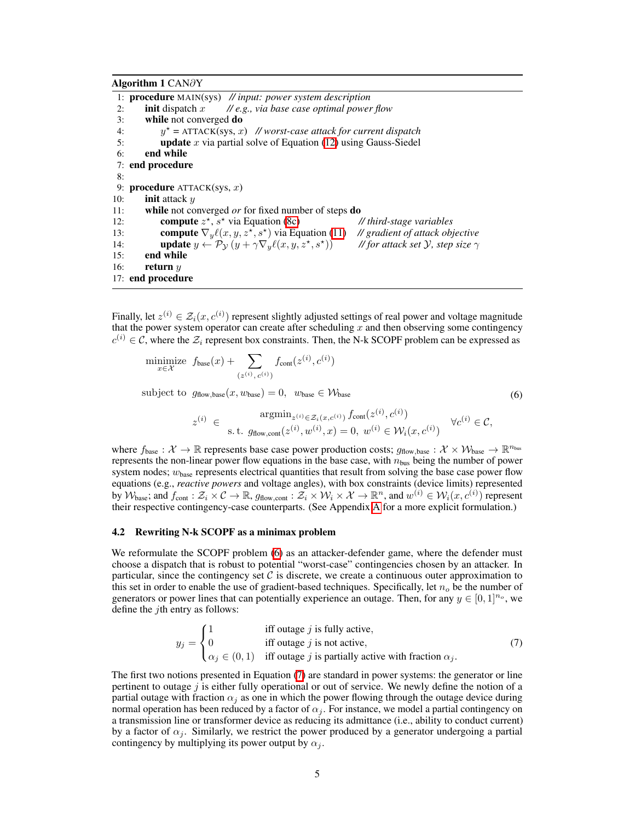#### Algorithm  $1$  CAN $\partial$ Y

<span id="page-4-0"></span>1: procedure MAIN(sys) *// input: power system description* 2: init dispatch *x // e.g., via base case optimal power flow* 3: while not converged do 4:  $y^* = \text{ATTACK}(\text{sys}, x)$  // worst-case attack for current dispatch 5: **update** x via partial solve of Equation (12) using Gauss-Siedel **update** x via partial solve of Equation  $(12)$  using Gauss-Siedel 6: end while 7: end procedure 8: 9: procedure ATTACK(sys, *x*) 10: init attack *y* 11: **while** not converged *or* for fixed number of steps **do**<br>12: **compute**  $z^*$ ,  $s^*$  via Equation (**8c**) // third-stage variables compute  $z^*$ ,  $s^*$  via Equation [\(8c\)](#page-5-1) 13: **compute**  $\nabla_y \ell(x, y, z^*, s^*)$  via Equation [\(11\)](#page-5-2) *// gradient of attack objective*<br>14: **update**  $y \leftarrow \mathcal{P}_y(y + \gamma \nabla_y \ell(x, y, z^*, s^*))$  // for attack set  $\mathcal{Y}$ , step size  $\gamma$ 14: **update**  $y \leftarrow \mathcal{P}_\mathcal{Y}(y + \gamma \nabla_y \ell(x, y, z^*, s^*))$ <br>15: **end while** end while 16: return *y* 17: end procedure

Finally, let  $z^{(i)} \in \mathcal{Z}_i(x, c^{(i)})$  represent slightly adjusted settings of real power and voltage magnitude that the power system operator can create after scheduling  $x$  and then observing some contingency  $c^{(i)} \in \mathcal{C}$ , where the  $\mathcal{Z}_i$  represent box constraints. Then, the N-k SCOPF problem can be expressed as

<span id="page-4-1"></span>
$$
\begin{aligned}\n\text{minimize} \quad & f_{\text{base}}(x) + \sum_{(z^{(i)}, c^{(i)})} f_{\text{cont}}(z^{(i)}, c^{(i)}) \\
\text{subject to} \quad & g_{\text{flow}, \text{base}}(x, w_{\text{base}}) = 0, \quad w_{\text{base}} \in \mathcal{W}_{\text{base}} \\
& z^{(i)} \in \quad \operatorname{argmin}_{z^{(i)} \in \mathcal{Z}_i(x, c^{(i)})} f_{\text{cont}}(z^{(i)}, c^{(i)}) \\
& \text{s.t.} \quad & g_{\text{flow}, \text{cont}}(z^{(i)}, w^{(i)}, x) = 0, \ w^{(i)} \in \mathcal{W}_i(x, c^{(i)}) \quad \forall c^{(i)} \in \mathcal{C},\n\end{aligned} \tag{6}
$$

where  $f_{base} : \mathcal{X} \to \mathbb{R}$  represents base case power production costs;  $g_{flow,base} : \mathcal{X} \times \mathcal{W}_{base} \to \mathbb{R}^{n_{bus}}$ represents the non-linear power flow equations in the base case, with *n*bus being the number of power system nodes;  $w_{base}$  represents electrical quantities that result from solving the base case power flow equations (e.g., *reactive powers* and voltage angles), with box constraints (device limits) represented by  $W_{base}$ ; and  $f_{cont}: \mathcal{Z}_i \times \mathcal{C} \to \mathbb{R}$ ,  $g_{flow, cont}: \mathcal{Z}_i \times \mathcal{W}_i \times \mathcal{X} \to \mathbb{R}^n$ , and  $w^{(i)} \in \mathcal{W}_i(x, c^{(i)})$  represent their respective contingency-case counterparts. (See [A](#page-0-0)ppendix  $\overline{A}$  for a more explicit formulation.)

#### 4.2 Rewriting N-k SCOPF as a minimax problem

We reformulate the SCOPF problem  $\overline{\omega}$  as an attacker-defender game, where the defender must choose a dispatch that is robust to potential "worst-case" contingencies chosen by an attacker. In particular, since the contingency set  $C$  is discrete, we create a continuous outer approximation to this set in order to enable the use of gradient-based techniques. Specifically, let  $n<sub>o</sub>$  be the number of generators or power lines that can potentially experience an outage. Then, for any  $y \in [0, 1]^{n_o}$ , we define the *j*th entry as follows:

<span id="page-4-2"></span>
$$
y_j = \begin{cases} 1 & \text{iff outage } j \text{ is fully active,} \\ 0 & \text{iff outage } j \text{ is not active,} \\ \alpha_j \in (0,1) & \text{iff outage } j \text{ is partially active with fraction } \alpha_j. \end{cases}
$$
(7)

The first two notions presented in Equation  $\sqrt{7}$  are standard in power systems: the generator or line pertinent to outage *j* is either fully operational or out of service. We newly define the notion of a partial outage with fraction  $\alpha_i$  as one in which the power flowing through the outage device during normal operation has been reduced by a factor of  $\alpha_i$ . For instance, we model a partial contingency on a transmission line or transformer device as reducing its admittance (i.e., ability to conduct current) by a factor of  $\alpha_i$ . Similarly, we restrict the power produced by a generator undergoing a partial contingency by multiplying its power output by  $\alpha_i$ .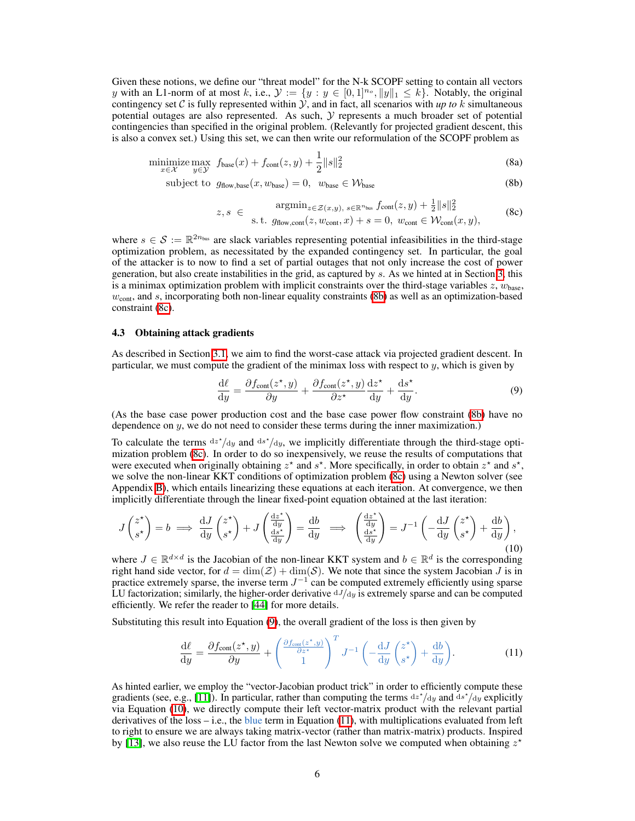Given these notions, we define our "threat model" for the N-k SCOPF setting to contain all vectors *y* with an L1-norm of at most *k*, i.e.,  $\mathcal{Y} := \{y : y \in [0,1]^{n_o}, ||y||_1 \leq k\}$ . Notably, the original contingency set C is fully represented within  $\hat{y}$ , and in fact, all scenarios with *up to*  $k$  simultaneous potential outages are also represented. As such, *Y* represents a much broader set of potential contingencies than specified in the original problem. (Relevantly for projected gradient descent, this is also a convex set.) Using this set, we can then write our reformulation of the SCOPF problem as

$$
\underset{x \in \mathcal{X}}{\text{minimize}} \max_{y \in \mathcal{Y}} f_{\text{base}}(x) + f_{\text{cont}}(z, y) + \frac{1}{2} ||s||_2^2 \tag{8a}
$$

 $\text{subject to} \quad q_{\text{flow base}}(x, w_{\text{base}}) = 0, \quad w_{\text{base}} \in \mathcal{W}_{\text{base}}$  (8b)

<span id="page-5-3"></span><span id="page-5-1"></span>
$$
z, s \in \operatorname*{argmin}_{z \in \mathcal{Z}(x,y), s \in \mathbb{R}^{n_{\text{bus}}} } f_{\text{cont}}(z, y) + \frac{1}{2} ||s||_2^2
$$
  
s.t.  $g_{\text{flow}, \text{cont}}(z, w_{\text{cont}}, x) + s = 0, w_{\text{cont}} \in \mathcal{W}_{\text{cont}}(x, y),$  (8c)

where  $s \in \mathcal{S} := \mathbb{R}^{2n_{\text{bus}}}$  are slack variables representing potential infeasibilities in the third-stage optimization problem, as necessitated by the expanded contingency set. In particular, the goal of the attacker is to now to find a set of partial outages that not only increase the cost of power generation, but also create instabilities in the grid, as captured by  $s$ . As we hinted at in Section  $\beta$ , this is a minimax optimization problem with implicit constraints over the third-stage variables  $z$ ,  $w_{base}$ ,  $w_{\text{cont}}$ , and *s*, incorporating both non-linear equality constraints ( $\delta b$ ) as well as an optimization-based constraint [\(8c\)](#page-5-1).

#### <span id="page-5-0"></span>4.3 Obtaining attack gradients

As described in Section  $\overline{3.1}$ , we aim to find the worst-case attack via projected gradient descent. In particular, we must compute the gradient of the minimax loss with respect to *y*, which is given by

<span id="page-5-5"></span><span id="page-5-4"></span>
$$
\frac{\mathrm{d}\ell}{\mathrm{d}y} = \frac{\partial f_{\text{cont}}(z^{\star}, y)}{\partial y} + \frac{\partial f_{\text{cont}}(z^{\star}, y)}{\partial z^{\star}} \frac{\mathrm{d}z^{\star}}{\mathrm{d}y} + \frac{\mathrm{d}s^{\star}}{\mathrm{d}y}.\tag{9}
$$

(As the base case power production cost and the base case power flow constraint [\(8b\)](#page-5-3) have no dependence on *y*, we do not need to consider these terms during the inner maximization.)

To calculate the terms  $dz^*/dy$  and  $ds^*/dy$ , we implicitly differentiate through the third-stage optimization problem  $(\sqrt{8c})$ . In order to do so inexpensively, we reuse the results of computations that were executed when originally obtaining  $z^*$  and  $s^*$ . More specifically, in order to obtain  $z^*$  and  $s^*$ , we solve the non-linear KKT conditions of optimization problem  $(\sqrt{8c})$  using a Newton solver (see Appendix  $\overline{B}$ , which entails linearizing these equations at each iteration. At convergence, we then implicitly differentiate through the linear fixed-point equation obtained at the last iteration:

$$
J\begin{pmatrix} z^{\star} \\ s^{\star} \end{pmatrix} = b \implies \frac{\mathrm{d}J}{\mathrm{d}y} \begin{pmatrix} z^{\star} \\ s^{\star} \end{pmatrix} + J\begin{pmatrix} \frac{\mathrm{d}z^{\star}}{\mathrm{d}y} \\ \frac{\mathrm{d}s^{\star}}{\mathrm{d}y} \end{pmatrix} = \frac{\mathrm{d}b}{\mathrm{d}y} \implies \begin{pmatrix} \frac{\mathrm{d}z^{\star}}{\mathrm{d}y} \\ \frac{\mathrm{d}s^{\star}}{\mathrm{d}y} \end{pmatrix} = J^{-1} \left( -\frac{\mathrm{d}J}{\mathrm{d}y} \begin{pmatrix} z^{\star} \\ s^{\star} \end{pmatrix} + \frac{\mathrm{d}b}{\mathrm{d}y} \right),\tag{10}
$$

where  $J \in \mathbb{R}^{d \times d}$  is the Jacobian of the non-linear KKT system and  $b \in \mathbb{R}^d$  is the corresponding right hand side vector, for  $d = \dim(Z) + \dim(S)$ . We note that since the system Jacobian *J* is in practice extremely sparse, the inverse term  $J^{-1}$  can be computed extremely efficiently using sparse LU factorization; similarly, the higher-order derivative  $dJ/dy$  is extremely sparse and can be computed efficiently. We refer the reader to [\[44\]](#page-12-5) for more details.

Substituting this result into Equation  $\overline{\phi}$ , the overall gradient of the loss is then given by

<span id="page-5-2"></span>
$$
\frac{\mathrm{d}\ell}{\mathrm{d}y} = \frac{\partial f_{\mathrm{cont}}(z^\star, y)}{\partial y} + \begin{pmatrix} \frac{\partial f_{\mathrm{cont}}(z^\star, y)}{\partial z^\star} \\ 1 \end{pmatrix}^T J^{-1} \left( -\frac{\mathrm{d}J}{\mathrm{d}y} \begin{pmatrix} z^\star \\ s^\star \end{pmatrix} + \frac{\mathrm{d}b}{\mathrm{d}y} \right). \tag{11}
$$

As hinted earlier, we employ the "vector-Jacobian product trick" in order to efficiently compute these gradients (see, e.g.,  $\pi$ ). In particular, rather than computing the terms  $dz'/dy$  and  $ds'/dy$  explicitly via Equation [\(10\)](#page-5-5), we directly compute their left vector-matrix product with the relevant partial derivatives of the loss – i.e., the blue term in Equation  $(\overline{11})$ , with multiplications evaluated from left to right to ensure we are always taking matrix-vector (rather than matrix-matrix) products. Inspired by  $[13]$ , we also reuse the LU factor from the last Newton solve we computed when obtaining  $z^*$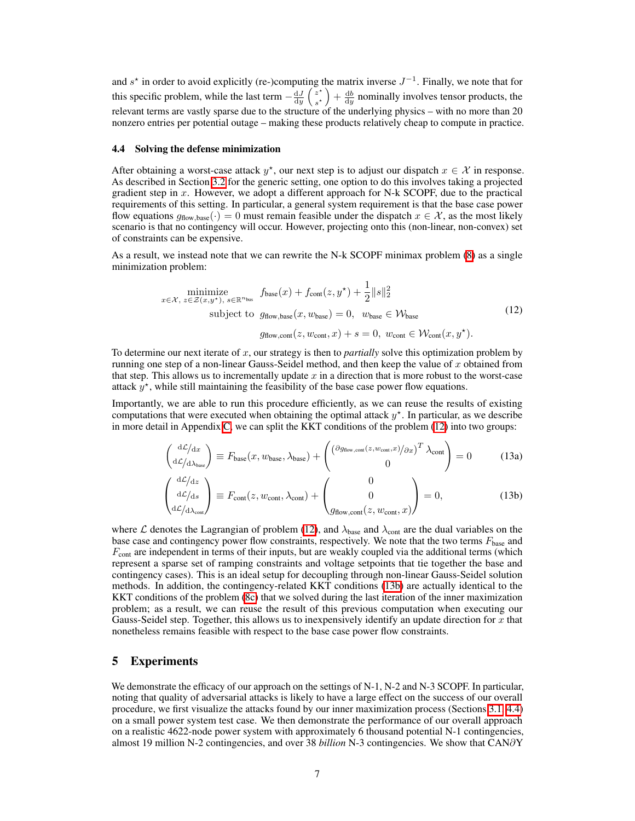and  $s^*$  in order to avoid explicitly (re-)computing the matrix inverse  $J^{-1}$ . Finally, we note that for this specific problem, while the last term  $-\frac{dJ}{dy}$  $\int z^*$ *s*?  $+\frac{db}{dy}$  nominally involves tensor products, the relevant terms are vastly sparse due to the structure of the underlying physics - with no more than 20 nonzero entries per potential outage – making these products relatively cheap to compute in practice.

#### <span id="page-6-0"></span>4.4 Solving the defense minimization

After obtaining a worst-case attack  $y^*$ , our next step is to adjust our dispatch  $x \in \mathcal{X}$  in response. As described in Section  $\overline{3.2}$  for the generic setting, one option to do this involves taking a projected gradient step in *x*. However, we adopt a different approach for N-k SCOPF, due to the practical requirements of this setting. In particular, a general system requirement is that the base case power flow equations  $g_{flow,base}(\cdot)=0$  must remain feasible under the dispatch  $x \in \mathcal{X}$ , as the most likely scenario is that no contingency will occur. However, projecting onto this (non-linear, non-convex) set of constraints can be expensive.

As a result, we instead note that we can rewrite the N-k SCOPF minimax problem  $\binom{8}{6}$  as a single minimization problem:

<span id="page-6-1"></span>
$$
\underset{x \in \mathcal{X}, \ z \in \mathcal{Z}(x, y^{\star}), \ s \in \mathbb{R}^{n_{\text{bus}}}}{\text{minimize}} \ f_{\text{base}}(x) + f_{\text{cont}}(z, y^{\star}) + \frac{1}{2} ||s||_{2}^{2}
$$
\n
$$
\text{subject to} \ g_{\text{flow}, \text{base}}(x, w_{\text{base}}) = 0, \ w_{\text{base}} \in \mathcal{W}_{\text{base}}
$$
\n
$$
g_{\text{flow}, \text{cont}}(z, w_{\text{cont}}, x) + s = 0, \ w_{\text{cont}} \in \mathcal{W}_{\text{cont}}(x, y^{\star}).
$$
\n
$$
(12)
$$

To determine our next iterate of *x*, our strategy is then to *partially* solve this optimization problem by running one step of a non-linear Gauss-Seidel method, and then keep the value of *x* obtained from that step. This allows us to incrementally update  $x$  in a direction that is more robust to the worst-case attack  $y^*$ , while still maintaining the feasibility of the base case power flow equations.

Importantly, we are able to run this procedure efficiently, as we can reuse the results of existing computations that were executed when obtaining the optimal attack  $y^*$ . In particular, as we describe in more detail in Appendix  $\overline{C}$ , we can split the KKT conditions of the problem  $(12)$  into two groups:

$$
\begin{pmatrix}\ndL/dx \\
dL/d\lambda_{\text{base}}\n\end{pmatrix} \equiv F_{\text{base}}(x, w_{\text{base}}, \lambda_{\text{base}}) + \begin{pmatrix}\n(\partial g_{\text{flow}, \text{cont}}(z, w_{\text{cont}}, x)/\partial x)^T \lambda_{\text{cont}} \\
0\n\end{pmatrix} = 0
$$
\n(13a)

$$
\begin{pmatrix} d\mathcal{L}/dz \\ d\mathcal{L}/ds \\ dz/d\lambda_{cont} \end{pmatrix} \equiv F_{\text{cont}}(z, w_{\text{cont}}, \lambda_{\text{cont}}) + \begin{pmatrix} 0 \\ 0 \\ g_{\text{flow}, \text{cont}}(z, w_{\text{cont}}, x) \end{pmatrix} = 0, \tag{13b}
$$

where *L* denotes the Lagrangian of problem  $\overline{12}$ , and  $\lambda_{base}$  and  $\lambda_{cont}$  are the dual variables on the base case and contingency power flow constraints, respectively. We note that the two terms *F*base and *F*<sub>cont</sub> are independent in terms of their inputs, but are weakly coupled via the additional terms (which represent a sparse set of ramping constraints and voltage setpoints that tie together the base and contingency cases). This is an ideal setup for decoupling through non-linear Gauss-Seidel solution methods. In addition, the contingency-related KKT conditions  $(13b)$  are actually identical to the KKT conditions of the problem  $(\sqrt{8c})$  that we solved during the last iteration of the inner maximization problem; as a result, we can reuse the result of this previous computation when executing our Gauss-Seidel step. Together, this allows us to inexpensively identify an update direction for *x* that nonetheless remains feasible with respect to the base case power flow constraints.

## 5 Experiments

We demonstrate the efficacy of our approach on the settings of N-1, N-2 and N-3 SCOPF. In particular, noting that quality of adversarial attacks is likely to have a large effect on the success of our overall procedure, we first visualize the attacks found by our inner maximization process (Sections  $\overline{3.1}$ ,  $\overline{4.4}$ ) on a small power system test case. We then demonstrate the performance of our overall approach on a realistic 4622-node power system with approximately 6 thousand potential N-1 contingencies, almost 19 million N-2 contingencies, and over 38 *billion* N-3 contingencies. We show that CAN@Y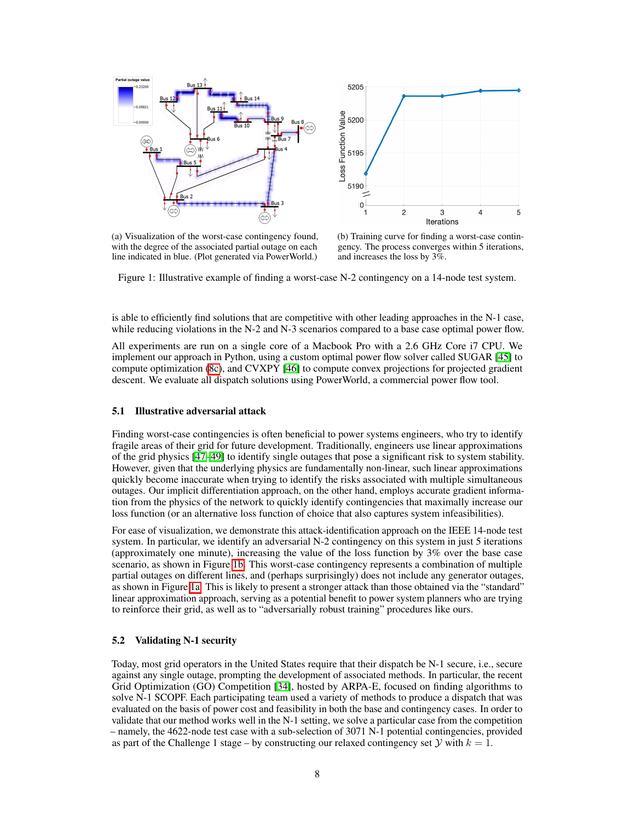<span id="page-7-0"></span>

(a) Visualization of the worst-case contingency found, with the degree of the associated partial outage on each line indicated in blue. (Plot generated via PowerWorld.)



(b) Training curve for finding a worst-case contingency. The process converges within 5 iterations, and increases the loss by 3%.

Figure 1: Illustrative example of finding a worst-case N-2 contingency on a 14-node test system.

is able to efficiently find solutions that are competitive with other leading approaches in the N-1 case, while reducing violations in the N-2 and N-3 scenarios compared to a base case optimal power flow.

All experiments are run on a single core of a Macbook Pro with a 2.6 GHz Core i7 CPU. We implement our approach in Python, using a custom optimal power flow solver called SUGAR [\[45\]](#page-12-6) to compute optimization  $\sqrt{8c}$ , and CVXPY  $\sqrt{46}$  to compute convex projections for projected gradient descent. We evaluate all dispatch solutions using PowerWorld, a commercial power flow tool.

## 5.1 Illustrative adversarial attack

Finding worst-case contingencies is often beneficial to power systems engineers, who try to identify fragile areas of their grid for future development. Traditionally, engineers use linear approximations of the grid physics  $[47]$  $[47]$ - $[49]$  to identify single outages that pose a significant risk to system stability. However, given that the underlying physics are fundamentally non-linear, such linear approximations quickly become inaccurate when trying to identify the risks associated with multiple simultaneous outages. Our implicit differentiation approach, on the other hand, employs accurate gradient information from the physics of the network to quickly identify contingencies that maximally increase our loss function (or an alternative loss function of choice that also captures system infeasibilities).

For ease of visualization, we demonstrate this attack-identification approach on the IEEE 14-node test system. In particular, we identify an adversarial N-2 contingency on this system in just 5 iterations (approximately one minute), increasing the value of the loss function by 3% over the base case scenario, as shown in Figure  $\boxed{16}$ . This worst-case contingency represents a combination of multiple partial outages on different lines, and (perhaps surprisingly) does not include any generator outages, as shown in Figure  $\overline{[a]}$ . This is likely to present a stronger attack than those obtained via the "standard" linear approximation approach, serving as a potential benefit to power system planners who are trying to reinforce their grid, as well as to "adversarially robust training" procedures like ours.

#### 5.2 Validating N-1 security

Today, most grid operators in the United States require that their dispatch be N-1 secure, i.e., secure against any single outage, prompting the development of associated methods. In particular, the recent Grid Optimization (GO) Competition [\[34\]](#page-11-11), hosted by ARPA-E, focused on finding algorithms to solve N-1 SCOPF. Each participating team used a variety of methods to produce a dispatch that was evaluated on the basis of power cost and feasibility in both the base and contingency cases. In order to validate that our method works well in the N-1 setting, we solve a particular case from the competition – namely, the 4622-node test case with a sub-selection of 3071 N-1 potential contingencies, provided as part of the Challenge 1 stage – by constructing our relaxed contingency set *Y* with  $k = 1$ .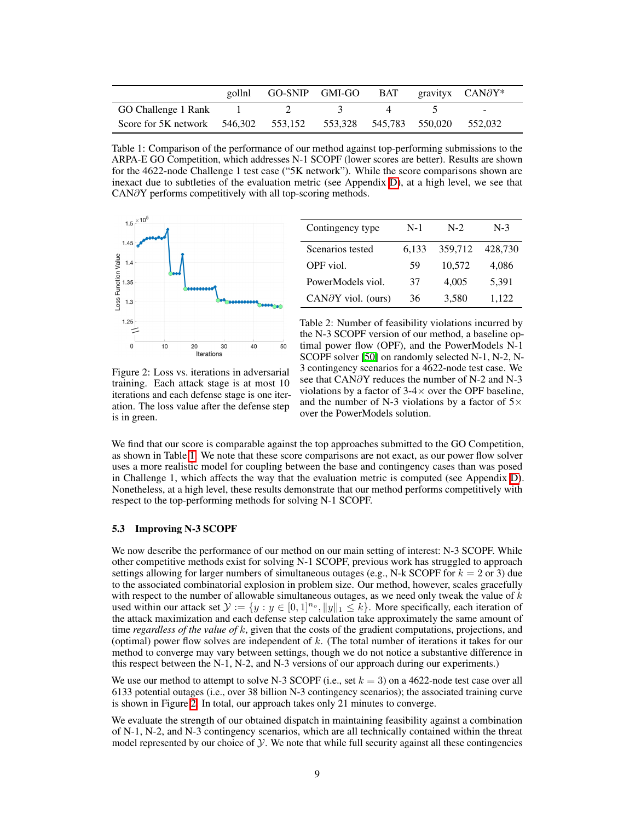<span id="page-8-0"></span>

|                                                              | gollnl | GO-SNIP GMI-GO BAT gravityx $CAN\partial Y^*$ |  |         |
|--------------------------------------------------------------|--------|-----------------------------------------------|--|---------|
| GO Challenge 1 Rank                                          |        |                                               |  | $\sim$  |
| Score for 5K network 546,302 553,152 553,328 545,783 550,020 |        |                                               |  | 552.032 |

Table 1: Comparison of the performance of our method against top-performing submissions to the ARPA-E GO Competition, which addresses N-1 SCOPF (lower scores are better). Results are shown for the 4622-node Challenge 1 test case ("5K network"). While the score comparisons shown are inexact due to subtleties of the evaluation metric (see Appendix  $\overline{D}$ ), at a high level, we see that  $CAN\partial Y$  performs competitively with all top-scoring methods.

<span id="page-8-1"></span>

| Contingency type             | $N-1$ | $N-2$   | $N-3$   |
|------------------------------|-------|---------|---------|
| Scenarios tested             | 6.133 | 359,712 | 428,730 |
| OPF viol.                    | 59    | 10,572  | 4,086   |
| PowerModels viol.            | 37    | 4,005   | 5,391   |
| $CAN\partial Y$ viol. (ours) | 36    | 3,580   | 1,122   |

Figure 2: Loss vs. iterations in adversarial training. Each attack stage is at most 10 iterations and each defense stage is one iteration. The loss value after the defense step is in green.

Table 2: Number of feasibility violations incurred by the N-3 SCOPF version of our method, a baseline optimal power flow (OPF), and the PowerModels N-1 SCOPF solver [\[50\]](#page-12-10) on randomly selected N-1, N-2, N-3 contingency scenarios for a 4622-node test case. We see that  $CAN\partial Y$  reduces the number of N-2 and N-3 violations by a factor of  $3-4\times$  over the OPF baseline, and the number of N-3 violations by a factor of  $5\times$ over the PowerModels solution.

We find that our score is comparable against the top approaches submitted to the GO Competition, as shown in Table  $\overline{1}$ . We note that these score comparisons are not exact, as our power flow solver uses a more realistic model for coupling between the base and contingency cases than was posed in Challenge 1, which affects the way that the evaluation metric is computed (see Appendix  $\mathbf{D}$ ). Nonetheless, at a high level, these results demonstrate that our method performs competitively with respect to the top-performing methods for solving N-1 SCOPF.

#### 5.3 Improving N-3 SCOPF

We now describe the performance of our method on our main setting of interest: N-3 SCOPF. While other competitive methods exist for solving N-1 SCOPF, previous work has struggled to approach settings allowing for larger numbers of simultaneous outages (e.g., N-k SCOPF for  $k = 2$  or 3) due to the associated combinatorial explosion in problem size. Our method, however, scales gracefully with respect to the number of allowable simultaneous outages, as we need only tweak the value of *k* used within our attack set  $\mathcal{Y} := \{y : y \in [0,1]^{n_o}, ||y||_1 \leq k\}$ . More specifically, each iteration of the attack maximization and each defense step calculation take approximately the same amount of time *regardless of the value of k*, given that the costs of the gradient computations, projections, and (optimal) power flow solves are independent of *k*. (The total number of iterations it takes for our method to converge may vary between settings, though we do not notice a substantive difference in this respect between the N-1, N-2, and N-3 versions of our approach during our experiments.)

We use our method to attempt to solve N-3 SCOPF (i.e., set *k* = 3) on a 4622-node test case over all 6133 potential outages (i.e., over 38 billion N-3 contingency scenarios); the associated training curve is shown in Figure  $\sqrt{2}$ . In total, our approach takes only 21 minutes to converge.

We evaluate the strength of our obtained dispatch in maintaining feasibility against a combination of N-1, N-2, and N-3 contingency scenarios, which are all technically contained within the threat model represented by our choice of *y*. We note that while full security against all these contingencies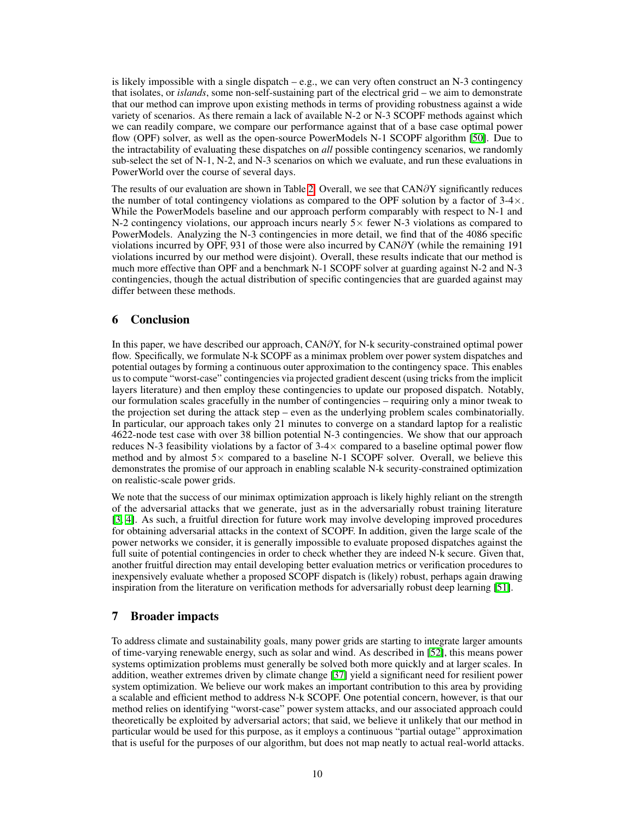is likely impossible with a single dispatch – e.g., we can very often construct an N-3 contingency that isolates, or *islands*, some non-self-sustaining part of the electrical grid – we aim to demonstrate that our method can improve upon existing methods in terms of providing robustness against a wide variety of scenarios. As there remain a lack of available N-2 or N-3 SCOPF methods against which we can readily compare, we compare our performance against that of a base case optimal power flow (OPF) solver, as well as the open-source PowerModels N-1 SCOPF algorithm [\[50\]](#page-12-10). Due to the intractability of evaluating these dispatches on *all* possible contingency scenarios, we randomly sub-select the set of N-1, N-2, and N-3 scenarios on which we evaluate, and run these evaluations in PowerWorld over the course of several days.

The results of our evaluation are shown in Table  $\frac{2}{3}$  Overall, we see that CAN $\partial Y$  significantly reduces the number of total contingency violations as compared to the OPF solution by a factor of  $3-4\times$ . While the PowerModels baseline and our approach perform comparably with respect to N-1 and N-2 contingency violations, our approach incurs nearly  $5\times$  fewer N-3 violations as compared to PowerModels. Analyzing the N-3 contingencies in more detail, we find that of the 4086 specific violations incurred by OPF, 931 of those were also incurred by  $CAN\partial Y$  (while the remaining 191 violations incurred by our method were disjoint). Overall, these results indicate that our method is much more effective than OPF and a benchmark N-1 SCOPF solver at guarding against N-2 and N-3 contingencies, though the actual distribution of specific contingencies that are guarded against may differ between these methods.

# 6 Conclusion

In this paper, we have described our approach,  $CAN\partial Y$ , for N-k security-constrained optimal power flow. Specifically, we formulate N-k SCOPF as a minimax problem over power system dispatches and potential outages by forming a continuous outer approximation to the contingency space. This enables us to compute "worst-case" contingencies via projected gradient descent (using tricks from the implicit layers literature) and then employ these contingencies to update our proposed dispatch. Notably, our formulation scales gracefully in the number of contingencies – requiring only a minor tweak to the projection set during the attack step – even as the underlying problem scales combinatorially. In particular, our approach takes only 21 minutes to converge on a standard laptop for a realistic 4622-node test case with over 38 billion potential N-3 contingencies. We show that our approach reduces N-3 feasibility violations by a factor of  $3-4\times$  compared to a baseline optimal power flow method and by almost  $5 \times$  compared to a baseline N-1 SCOPF solver. Overall, we believe this demonstrates the promise of our approach in enabling scalable N-k security-constrained optimization on realistic-scale power grids.

We note that the success of our minimax optimization approach is likely highly reliant on the strength of the adversarial attacks that we generate, just as in the adversarially robust training literature  $[3, 4]$  $[3, 4]$  $[3, 4]$ . As such, a fruitful direction for future work may involve developing improved procedures for obtaining adversarial attacks in the context of SCOPF. In addition, given the large scale of the power networks we consider, it is generally impossible to evaluate proposed dispatches against the full suite of potential contingencies in order to check whether they are indeed N-k secure. Given that, another fruitful direction may entail developing better evaluation metrics or verification procedures to inexpensively evaluate whether a proposed SCOPF dispatch is (likely) robust, perhaps again drawing inspiration from the literature on verification methods for adversarially robust deep learning  $[51]$ .

## 7 Broader impacts

To address climate and sustainability goals, many power grids are starting to integrate larger amounts of time-varying renewable energy, such as solar and wind. As described in  $[52]$ , this means power systems optimization problems must generally be solved both more quickly and at larger scales. In addition, weather extremes driven by climate change [\[37\]](#page-11-14) yield a significant need for resilient power system optimization. We believe our work makes an important contribution to this area by providing a scalable and efficient method to address N-k SCOPF. One potential concern, however, is that our method relies on identifying "worst-case" power system attacks, and our associated approach could theoretically be exploited by adversarial actors; that said, we believe it unlikely that our method in particular would be used for this purpose, as it employs a continuous "partial outage" approximation that is useful for the purposes of our algorithm, but does not map neatly to actual real-world attacks.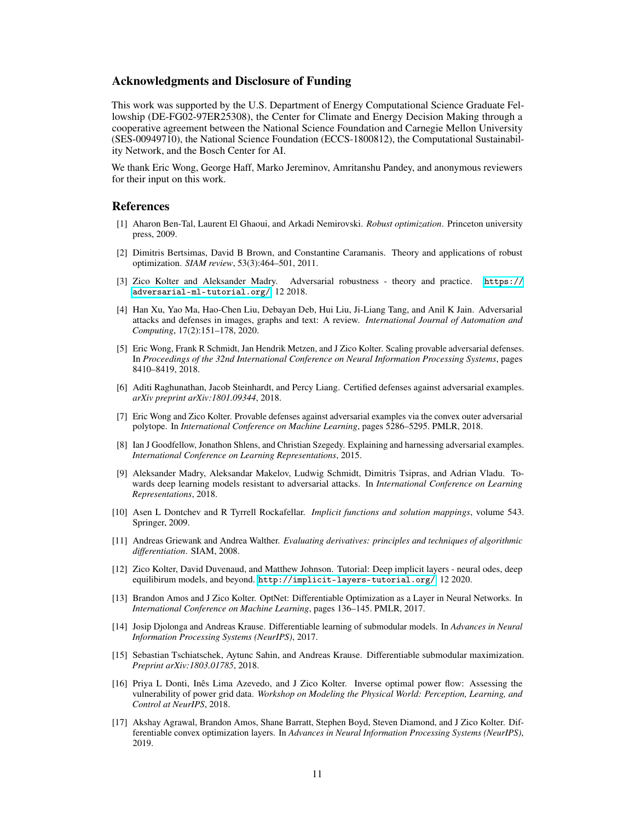## Acknowledgments and Disclosure of Funding

This work was supported by the U.S. Department of Energy Computational Science Graduate Fellowship (DE-FG02-97ER25308), the Center for Climate and Energy Decision Making through a cooperative agreement between the National Science Foundation and Carnegie Mellon University (SES-00949710), the National Science Foundation (ECCS-1800812), the Computational Sustainability Network, and the Bosch Center for AI.

We thank Eric Wong, George Haff, Marko Jereminov, Amritanshu Pandey, and anonymous reviewers for their input on this work.

## References

- <span id="page-10-0"></span>[1] Aharon Ben-Tal, Laurent El Ghaoui, and Arkadi Nemirovski. *Robust optimization*. Princeton university press, 2009.
- <span id="page-10-1"></span>[2] Dimitris Bertsimas, David B Brown, and Constantine Caramanis. Theory and applications of robust optimization. *SIAM review*, 53(3):464–501, 2011.
- <span id="page-10-2"></span>[3] Zico Kolter and Aleksander Madry. Adversarial robustness - theory and practice. [https://](https://adversarial-ml-tutorial.org/) [adversarial-ml-tutorial.org/](https://adversarial-ml-tutorial.org/), 12 2018.
- <span id="page-10-3"></span>[4] Han Xu, Yao Ma, Hao-Chen Liu, Debayan Deb, Hui Liu, Ji-Liang Tang, and Anil K Jain. Adversarial attacks and defenses in images, graphs and text: A review. *International Journal of Automation and Computing*, 17(2):151–178, 2020.
- <span id="page-10-4"></span>[5] Eric Wong, Frank R Schmidt, Jan Hendrik Metzen, and J Zico Kolter. Scaling provable adversarial defenses. In *Proceedings of the 32nd International Conference on Neural Information Processing Systems*, pages 8410–8419, 2018.
- [6] Aditi Raghunathan, Jacob Steinhardt, and Percy Liang. Certified defenses against adversarial examples. *arXiv preprint arXiv:1801.09344*, 2018.
- <span id="page-10-5"></span>[7] Eric Wong and Zico Kolter. Provable defenses against adversarial examples via the convex outer adversarial polytope. In *International Conference on Machine Learning*, pages 5286–5295. PMLR, 2018.
- <span id="page-10-6"></span>[8] Ian J Goodfellow, Jonathon Shlens, and Christian Szegedy. Explaining and harnessing adversarial examples. *International Conference on Learning Representations*, 2015.
- <span id="page-10-7"></span>[9] Aleksander Madry, Aleksandar Makelov, Ludwig Schmidt, Dimitris Tsipras, and Adrian Vladu. Towards deep learning models resistant to adversarial attacks. In *International Conference on Learning Representations*, 2018.
- <span id="page-10-8"></span>[10] Asen L Dontchev and R Tyrrell Rockafellar. *Implicit functions and solution mappings*, volume 543. Springer, 2009.
- <span id="page-10-9"></span>[11] Andreas Griewank and Andrea Walther. *Evaluating derivatives: principles and techniques of algorithmic differentiation*. SIAM, 2008.
- <span id="page-10-10"></span>[12] Zico Kolter, David Duvenaud, and Matthew Johnson. Tutorial: Deep implicit layers - neural odes, deep equilibirum models, and beyond. <http://implicit-layers-tutorial.org/>, 12 2020.
- <span id="page-10-11"></span>[13] Brandon Amos and J Zico Kolter. OptNet: Differentiable Optimization as a Layer in Neural Networks. In *International Conference on Machine Learning*, pages 136–145. PMLR, 2017.
- [14] Josip Djolonga and Andreas Krause. Differentiable learning of submodular models. In *Advances in Neural Information Processing Systems (NeurIPS)*, 2017.
- [15] Sebastian Tschiatschek, Aytunc Sahin, and Andreas Krause. Differentiable submodular maximization. *Preprint arXiv:1803.01785*, 2018.
- [16] Priya L Donti, Inês Lima Azevedo, and J Zico Kolter. Inverse optimal power flow: Assessing the vulnerability of power grid data. *Workshop on Modeling the Physical World: Perception, Learning, and Control at NeurIPS*, 2018.
- [17] Akshay Agrawal, Brandon Amos, Shane Barratt, Stephen Boyd, Steven Diamond, and J Zico Kolter. Differentiable convex optimization layers. In *Advances in Neural Information Processing Systems (NeurIPS)*, 2019.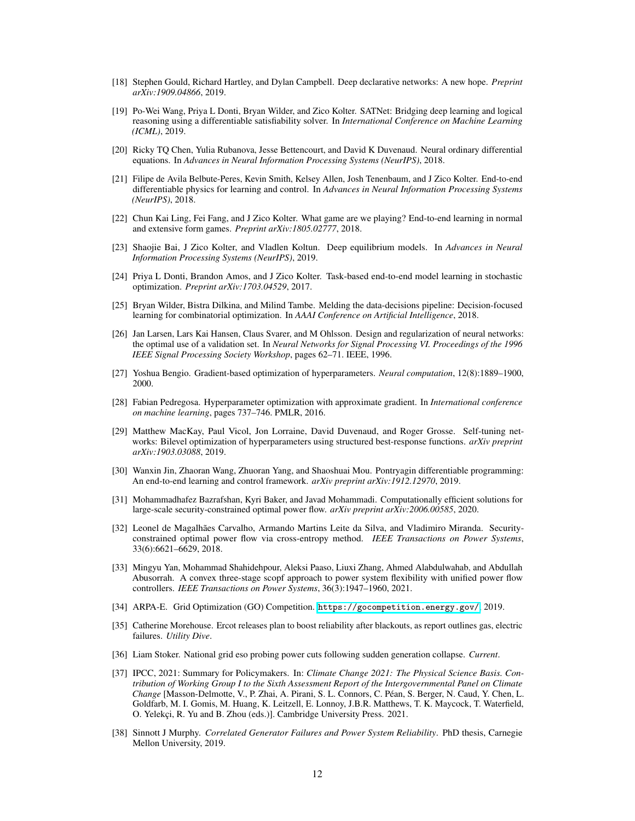- [18] Stephen Gould, Richard Hartley, and Dylan Campbell. Deep declarative networks: A new hope. *Preprint arXiv:1909.04866*, 2019.
- <span id="page-11-0"></span>[19] Po-Wei Wang, Priya L Donti, Bryan Wilder, and Zico Kolter. SATNet: Bridging deep learning and logical reasoning using a differentiable satisfiability solver. In *International Conference on Machine Learning (ICML)*, 2019.
- <span id="page-11-1"></span>[20] Ricky TQ Chen, Yulia Rubanova, Jesse Bettencourt, and David K Duvenaud. Neural ordinary differential equations. In *Advances in Neural Information Processing Systems (NeurIPS)*, 2018.
- <span id="page-11-2"></span>[21] Filipe de Avila Belbute-Peres, Kevin Smith, Kelsey Allen, Josh Tenenbaum, and J Zico Kolter. End-to-end differentiable physics for learning and control. In *Advances in Neural Information Processing Systems (NeurIPS)*, 2018.
- <span id="page-11-3"></span>[22] Chun Kai Ling, Fei Fang, and J Zico Kolter. What game are we playing? End-to-end learning in normal and extensive form games. *Preprint arXiv:1805.02777*, 2018.
- <span id="page-11-4"></span>[23] Shaojie Bai, J Zico Kolter, and Vladlen Koltun. Deep equilibrium models. In *Advances in Neural Information Processing Systems (NeurIPS)*, 2019.
- <span id="page-11-5"></span>[24] Priya L Donti, Brandon Amos, and J Zico Kolter. Task-based end-to-end model learning in stochastic optimization. *Preprint arXiv:1703.04529*, 2017.
- <span id="page-11-6"></span>[25] Bryan Wilder, Bistra Dilkina, and Milind Tambe. Melding the data-decisions pipeline: Decision-focused learning for combinatorial optimization. In *AAAI Conference on Artificial Intelligence*, 2018.
- <span id="page-11-7"></span>[26] Jan Larsen, Lars Kai Hansen, Claus Svarer, and M Ohlsson. Design and regularization of neural networks: the optimal use of a validation set. In *Neural Networks for Signal Processing VI. Proceedings of the 1996 IEEE Signal Processing Society Workshop*, pages 62–71. IEEE, 1996.
- [27] Yoshua Bengio. Gradient-based optimization of hyperparameters. *Neural computation*, 12(8):1889–1900, 2000.
- [28] Fabian Pedregosa. Hyperparameter optimization with approximate gradient. In *International conference on machine learning*, pages 737–746. PMLR, 2016.
- <span id="page-11-8"></span>[29] Matthew MacKay, Paul Vicol, Jon Lorraine, David Duvenaud, and Roger Grosse. Self-tuning networks: Bilevel optimization of hyperparameters using structured best-response functions. *arXiv preprint arXiv:1903.03088*, 2019.
- <span id="page-11-9"></span>[30] Wanxin Jin, Zhaoran Wang, Zhuoran Yang, and Shaoshuai Mou. Pontryagin differentiable programming: An end-to-end learning and control framework. *arXiv preprint arXiv:1912.12970*, 2019.
- <span id="page-11-10"></span>[31] Mohammadhafez Bazrafshan, Kyri Baker, and Javad Mohammadi. Computationally efficient solutions for large-scale security-constrained optimal power flow. *arXiv preprint arXiv:2006.00585*, 2020.
- [32] Leonel de Magalhães Carvalho, Armando Martins Leite da Silva, and Vladimiro Miranda. Securityconstrained optimal power flow via cross-entropy method. *IEEE Transactions on Power Systems*, 33(6):6621–6629, 2018.
- [33] Mingyu Yan, Mohammad Shahidehpour, Aleksi Paaso, Liuxi Zhang, Ahmed Alabdulwahab, and Abdullah Abusorrah. A convex three-stage scopf approach to power system flexibility with unified power flow controllers. *IEEE Transactions on Power Systems*, 36(3):1947–1960, 2021.
- <span id="page-11-11"></span>[34] ARPA-E. Grid Optimization (GO) Competition. <https://gocompetition.energy.gov/>, 2019.
- <span id="page-11-12"></span>[35] Catherine Morehouse. Ercot releases plan to boost reliability after blackouts, as report outlines gas, electric failures. *Utility Dive*.
- <span id="page-11-13"></span>[36] Liam Stoker. National grid eso probing power cuts following sudden generation collapse. *Current*.
- <span id="page-11-14"></span>[37] IPCC, 2021: Summary for Policymakers. In: *Climate Change 2021: The Physical Science Basis. Contribution of Working Group I to the Sixth Assessment Report of the Intergovernmental Panel on Climate Change* [Masson-Delmotte, V., P. Zhai, A. Pirani, S. L. Connors, C. Péan, S. Berger, N. Caud, Y. Chen, L. Goldfarb, M. I. Gomis, M. Huang, K. Leitzell, E. Lonnoy, J.B.R. Matthews, T. K. Maycock, T. Waterfield, O. Yelekçi, R. Yu and B. Zhou (eds.)]. Cambridge University Press. 2021.
- <span id="page-11-15"></span>[38] Sinnott J Murphy. *Correlated Generator Failures and Power System Reliability*. PhD thesis, Carnegie Mellon University, 2019.